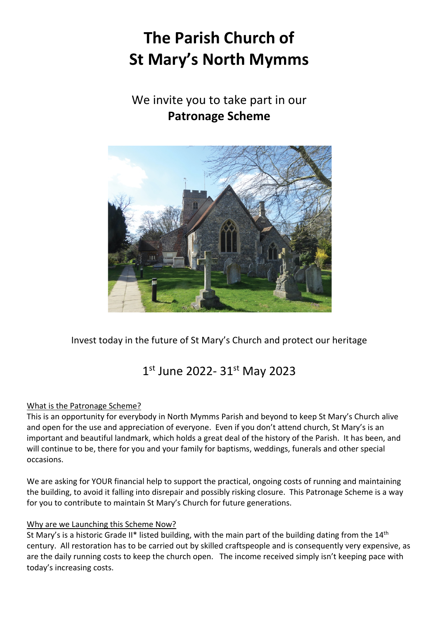# **The Parish Church of St Mary's North Mymms**

### We invite you to take part in our **Patronage Scheme**



Invest today in the future of St Mary's Church and protect our heritage

## 1st June 2022- 31st May 2023

#### What is the Patronage Scheme?

This is an opportunity for everybody in North Mymms Parish and beyond to keep St Mary's Church alive and open for the use and appreciation of everyone. Even if you don't attend church, St Mary's is an important and beautiful landmark, which holds a great deal of the history of the Parish. It has been, and will continue to be, there for you and your family for baptisms, weddings, funerals and other special occasions.

We are asking for YOUR financial help to support the practical, ongoing costs of running and maintaining the building, to avoid it falling into disrepair and possibly risking closure. This Patronage Scheme is a way for you to contribute to maintain St Mary's Church for future generations.

#### Why are we Launching this Scheme Now?

St Mary's is a historic Grade II\* listed building, with the main part of the building dating from the  $14<sup>th</sup>$ century. All restoration has to be carried out by skilled craftspeople and is consequently very expensive, as are the daily running costs to keep the church open. The income received simply isn't keeping pace with today's increasing costs.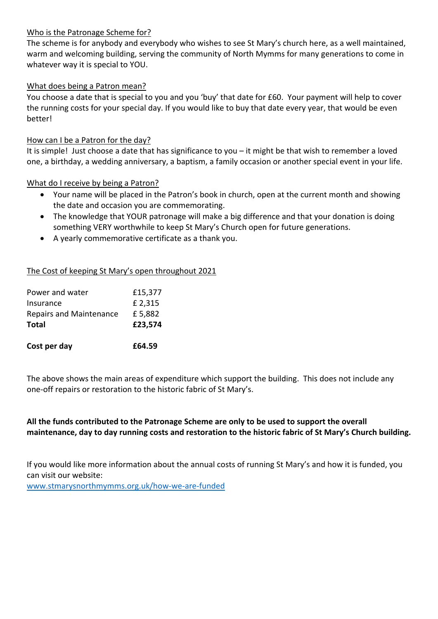#### Who is the Patronage Scheme for?

The scheme is for anybody and everybody who wishes to see St Mary's church here, as a well maintained, warm and welcoming building, serving the community of North Mymms for many generations to come in whatever way it is special to YOU.

#### What does being a Patron mean?

You choose a date that is special to you and you 'buy' that date for £60. Your payment will help to cover the running costs for your special day. If you would like to buy that date every year, that would be even better!

#### How can I be a Patron for the day?

It is simple! Just choose a date that has significance to you – it might be that wish to remember a loved one, a birthday, a wedding anniversary, a baptism, a family occasion or another special event in your life.

#### What do I receive by being a Patron?

- Your name will be placed in the Patron's book in church, open at the current month and showing the date and occasion you are commemorating.
- The knowledge that YOUR patronage will make a big difference and that your donation is doing something VERY worthwhile to keep St Mary's Church open for future generations.
- A yearly commemorative certificate as a thank you.

#### The Cost of keeping St Mary's open throughout 2021

| Power and water<br>Insurance   | £15,377<br>£ 2,315 |
|--------------------------------|--------------------|
| <b>Repairs and Maintenance</b> | £5,882             |
| <b>Total</b>                   | £23,574            |
|                                |                    |

The above shows the main areas of expenditure which support the building. This does not include any one-off repairs or restoration to the historic fabric of St Mary's.

#### **All the funds contributed to the Patronage Scheme are only to be used to support the overall maintenance, day to day running costs and restoration to the historic fabric of St Mary's Church building.**

If you would like more information about the annual costs of running St Mary's and how it is funded, you can visit our website: www.stmarysnorthmymms.org.uk/how-we-are-funded